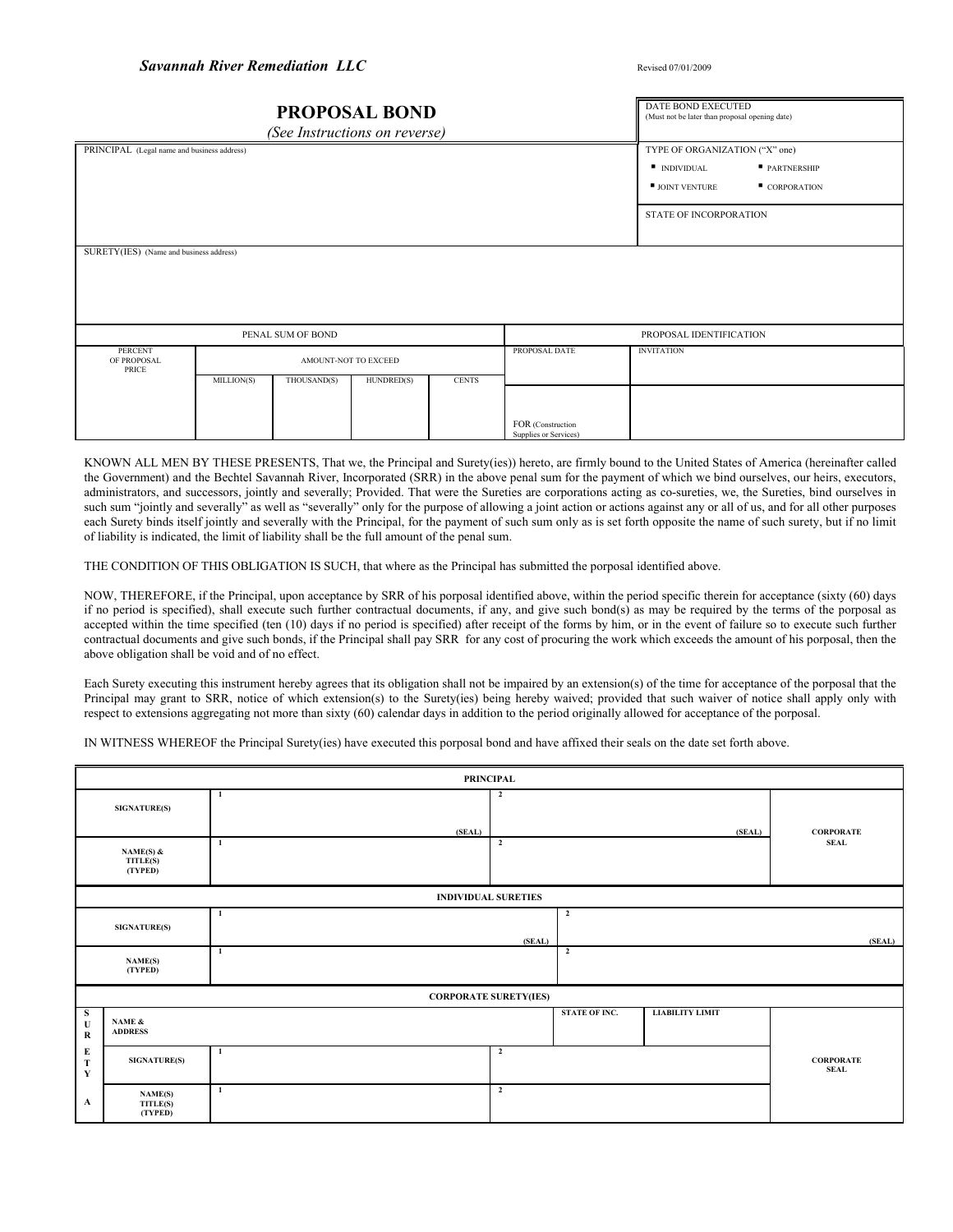| <b>PROPOSAL BOND</b><br>(See Instructions on reverse) |                      |             |            |                         |                                                                                     | <b>DATE BOND EXECUTED</b><br>(Must not be later than proposal opening date) |  |  |
|-------------------------------------------------------|----------------------|-------------|------------|-------------------------|-------------------------------------------------------------------------------------|-----------------------------------------------------------------------------|--|--|
| PRINCIPAL (Legal name and business address)           |                      |             |            |                         | TYPE OF ORGANIZATION ("X" one)<br><b>INDIVIDUAL</b><br>$\blacksquare$ JOINT VENTURE | PARTNERSHIP<br>CORPORATION                                                  |  |  |
|                                                       |                      |             |            |                         |                                                                                     | <b>STATE OF INCORPORATION</b>                                               |  |  |
| SURETY(IES) (Name and business address)               |                      |             |            |                         |                                                                                     |                                                                             |  |  |
| PENAL SUM OF BOND                                     |                      |             |            | PROPOSAL IDENTIFICATION |                                                                                     |                                                                             |  |  |
| <b>PERCENT</b><br>OF PROPOSAL<br>PRICE                | AMOUNT-NOT TO EXCEED |             |            |                         | PROPOSAL DATE                                                                       | <b>INVITATION</b>                                                           |  |  |
|                                                       | MILLION(S)           | THOUSAND(S) | HUNDRED(S) | <b>CENTS</b>            | FOR (Construction<br>Supplies or Services)                                          |                                                                             |  |  |

KNOWN ALL MEN BY THESE PRESENTS, That we, the Principal and Surety(ies)) hereto, are firmly bound to the United States of America (hereinafter called the Government) and the Bechtel Savannah River, Incorporated (SRR) in the above penal sum for the payment of which we bind ourselves, our heirs, executors, administrators, and successors, jointly and severally; Provided. That were the Sureties are corporations acting as co-sureties, we, the Sureties, bind ourselves in such sum "jointly and severally" as well as "severally" only for the purpose of allowing a joint action or actions against any or all of us, and for all other purposes each Surety binds itself jointly and severally with the Principal, for the payment of such sum only as is set forth opposite the name of such surety, but if no limit of liability is indicated, the limit of liability shall be the full amount of the penal sum.

THE CONDITION OF THIS OBLIGATION IS SUCH, that where as the Principal has submitted the porposal identified above.

NOW, THEREFORE, if the Principal, upon acceptance by SRR of his porposal identified above, within the period specific therein for acceptance (sixty (60) days if no period is specified), shall execute such further contractual documents, if any, and give such bond(s) as may be required by the terms of the porposal as accepted within the time specified (ten (10) days if no period is specified) after receipt of the forms by him, or in the event of failure so to execute such further contractual documents and give such bonds, if the Principal shall pay SRR for any cost of procuring the work which exceeds the amount of his porposal, then the above obligation shall be void and of no effect.

Each Surety executing this instrument hereby agrees that its obligation shall not be impaired by an extension(s) of the time for acceptance of the porposal that the Principal may grant to SRR, notice of which extension(s) to the Surety(ies) being hereby waived; provided that such waiver of notice shall apply only with respect to extensions aggregating not more than sixty (60) calendar days in addition to the period originally allowed for acceptance of the porposal.

IN WITNESS WHEREOF the Principal Surety(ies) have executed this porposal bond and have affixed their seals on the date set forth above.

| <b>PRINCIPAL</b>            |                                  |              |                |                |                        |                                 |  |
|-----------------------------|----------------------------------|--------------|----------------|----------------|------------------------|---------------------------------|--|
|                             | <b>SIGNATURE(S)</b>              | 1            | $\overline{2}$ |                |                        |                                 |  |
|                             | NAME(S) &<br>TITLE(S)<br>(TYPED) | (SEAL)<br>-1 | $\overline{2}$ |                | (SEAL)                 | <b>CORPORATE</b><br><b>SEAL</b> |  |
|                             | <b>INDIVIDUAL SURETIES</b>       |              |                |                |                        |                                 |  |
|                             | <b>SIGNATURE(S)</b>              | $\mathbf{1}$ | (SEAL)         | $\overline{2}$ |                        | (SEAL)                          |  |
|                             | NAME(S)<br>(TYPED)               | $\mathbf{1}$ |                | $\overline{2}$ |                        |                                 |  |
|                             | <b>CORPORATE SURETY(IES)</b>     |              |                |                |                        |                                 |  |
| S<br>$\mathbf U$<br>$\bf R$ | NAME $\&$<br><b>ADDRESS</b>      |              |                | STATE OF INC.  | <b>LIABILITY LIMIT</b> |                                 |  |
| E<br>T<br>$\mathbf Y$       | <b>SIGNATURE(S)</b>              | -1           | $\overline{2}$ |                |                        | <b>CORPORATE</b><br><b>SEAL</b> |  |
| $\mathbf A$                 | NAME(S)<br>TITLE(S)<br>(TYPED)   | -1           | $\overline{2}$ |                |                        |                                 |  |